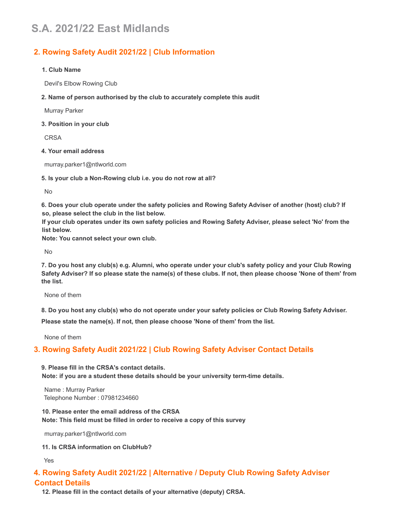# **S.A. 2021/22 East Midlands**

# **2. Rowing Safety Audit 2021/22 | Club Information**

#### **1. Club Name**

Devil's Elbow Rowing Club

**2. Name of person authorised by the club to accurately complete this audit**

Murray Parker

**3. Position in your club**

CRSA

#### **4. Your email address**

murray.parker1@ntlworld.com

**5. Is your club a Non-Rowing club i.e. you do not row at all?**

No

6. Does your club operate under the safety policies and Rowing Safety Adviser of another (host) club? If **so, please select the club in the list below.**

If your club operates under its own safety policies and Rowing Safety Adviser, please select 'No' from the **list below.**

**Note: You cannot select your own club.**

No

7. Do you host any club(s) e.g. Alumni, who operate under your club's safety policy and your Club Rowing Safety Adviser? If so please state the name(s) of these clubs. If not, then please choose 'None of them' from **the list.**

None of them

8. Do you host any club(s) who do not operate under your safety policies or Club Rowing Safety Adviser.

**Please state the name(s). If not, then please choose 'None of them' from the list.**

None of them

# **3. Rowing Safety Audit 2021/22 | Club Rowing Safety Adviser Contact Details**

**9. Please fill in the CRSA's contact details. Note: if you are a student these details should be your university term-time details.**

Name : Murray Parker Telephone Number : 07981234660

**10. Please enter the email address of the CRSA Note: This field must be filled in order to receive a copy of this survey**

murray.parker1@ntlworld.com

**11. Is CRSA information on ClubHub?**

Yes

# **4. Rowing Safety Audit 2021/22 | Alternative / Deputy Club Rowing Safety Adviser Contact Details**

**12. Please fill in the contact details of your alternative (deputy) CRSA.**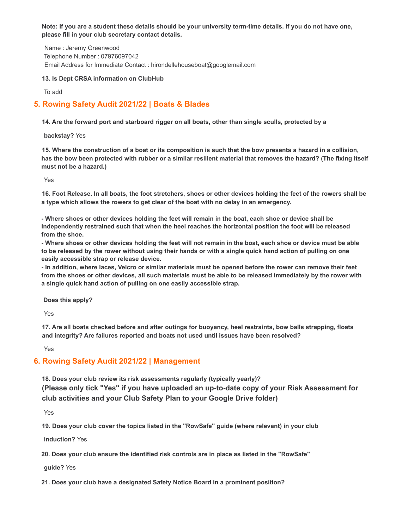Note: if you are a student these details should be your university term-time details. If you do not have one, **please fill in your club secretary contact details.**

Name : Jeremy Greenwood Telephone Number : 07976097042 Email Address for Immediate Contact : hirondellehouseboat@googlemail.com

#### **13. Is Dept CRSA information on ClubHub**

To add

# **5. Rowing Safety Audit 2021/22 | Boats & Blades**

14. Are the forward port and starboard rigger on all boats, other than single sculls, protected by a

**backstay?** Yes

15. Where the construction of a boat or its composition is such that the bow presents a hazard in a collision, has the bow been protected with rubber or a similar resilient material that removes the hazard? (The fixing itself **must not be a hazard.)**

Yes

16. Foot Release. In all boats, the foot stretchers, shoes or other devices holding the feet of the rowers shall be **a type which allows the rowers to get clear of the boat with no delay in an emergency.**

- Where shoes or other devices holding the feet will remain in the boat, each shoe or device shall be **independently restrained such that when the heel reaches the horizontal position the foot will be released from the shoe.**

- Where shoes or other devices holding the feet will not remain in the boat, each shoe or device must be able to be released by the rower without using their hands or with a single guick hand action of pulling on one **easily accessible strap or release device.**

- In addition, where laces, Velcro or similar materials must be opened before the rower can remove their feet from the shoes or other devices, all such materials must be able to be released immediately by the rower with **a single quick hand action of pulling on one easily accessible strap.**

**Does this apply?**

Yes

17. Are all boats checked before and after outings for buoyancy, heel restraints, bow balls strapping, floats **and integrity? Are failures reported and boats not used until issues have been resolved?**

Yes

# **6. Rowing Safety Audit 2021/22 | Management**

**18. Does your club review its risk assessments regularly (typically yearly)? (Please only tick "Yes" if you have uploaded an up-to-date copy of your Risk Assessment for club activities and your Club Safety Plan to your Google Drive folder)**

Yes

**19. Does your club cover the topics listed in the "RowSafe" guide (where relevant) in your club**

**induction?** Yes

**20. Does your club ensure the identified risk controls are in place as listed in the "RowSafe"**

**guide?** Yes

**21. Does your club have a designated Safety Notice Board in a prominent position?**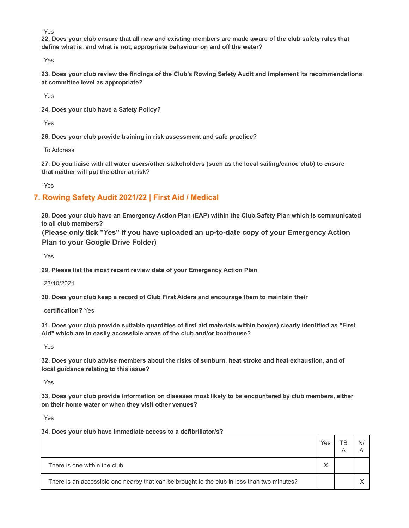Yes

22. Does your club ensure that all new and existing members are made aware of the club safety rules that **define what is, and what is not, appropriate behaviour on and off the water?**

Yes

23. Does your club review the findings of the Club's Rowing Safety Audit and implement its recommendations **at committee level as appropriate?**

Yes

**24. Does your club have a Safety Policy?**

Yes

**26. Does your club provide training in risk assessment and safe practice?**

To Address

27. Do you liaise with all water users/other stakeholders (such as the local sailing/canoe club) to ensure **that neither will put the other at risk?**

Yes

# **7. Rowing Safety Audit 2021/22 | First Aid / Medical**

28. Does your club have an Emergency Action Plan (EAP) within the Club Safety Plan which is communicated **to all club members?**

**(Please only tick "Yes" if you have uploaded an up-to-date copy of your Emergency Action Plan to your Google Drive Folder)**

Yes

**29. Please list the most recent review date of your Emergency Action Plan**

23/10/2021

**30. Does your club keep a record of Club First Aiders and encourage them to maintain their**

**certification?** Yes

31. Does your club provide suitable quantities of first aid materials within box(es) clearly identified as "First **Aid" which are in easily accessible areas of the club and/or boathouse?**

Yes

32. Does your club advise members about the risks of sunburn, heat stroke and heat exhaustion, and of **local guidance relating to this issue?**

Yes

**33. Does your club provide information on diseases most likely to be encountered by club members, either on their home water or when they visit other venues?**

Yes

**34. Does your club have immediate access to a defibrillator/s?**

|                                                                                             | Yes |  |
|---------------------------------------------------------------------------------------------|-----|--|
| There is one within the club                                                                |     |  |
| There is an accessible one nearby that can be brought to the club in less than two minutes? |     |  |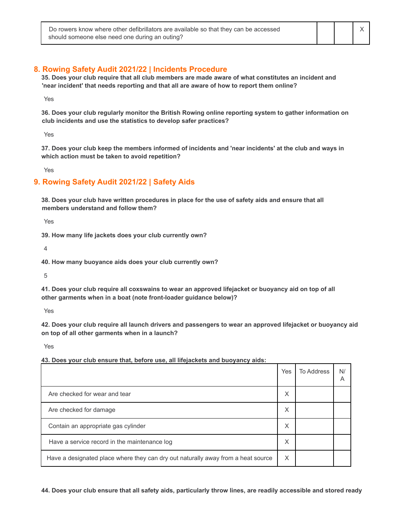#### **8. Rowing Safety Audit 2021/22 | Incidents Procedure**

35. Does your club require that all club members are made aware of what constitutes an incident and **'near incident' that needs reporting and that all are aware of how to report them online?**

Yes

**36. Does your club regularly monitor the British Rowing online reporting system to gather information on club incidents and use the statistics to develop safer practices?**

Yes

37. Does your club keep the members informed of incidents and 'near incidents' at the club and ways in **which action must be taken to avoid repetition?**

Yes

### **9. Rowing Safety Audit 2021/22 | Safety Aids**

38. Does your club have written procedures in place for the use of safety aids and ensure that all **members understand and follow them?**

Yes

**39. How many life jackets does your club currently own?**

4

**40. How many buoyance aids does your club currently own?**

5

41. Does your club require all coxswains to wear an approved lifejacket or buoyancy aid on top of all **other garments when in a boat (note front-loader guidance below)?**

Yes

42. Does your club require all launch drivers and passengers to wear an approved lifejacket or buoyancy aid **on top of all other garments when in a launch?**

Yes

**43. Does your club ensure that, before use, all lifejackets and buoyancy aids:**

|                                                                                  | Yes | <b>To Address</b> | N/<br>А |
|----------------------------------------------------------------------------------|-----|-------------------|---------|
| Are checked for wear and tear                                                    | X   |                   |         |
| Are checked for damage                                                           | X   |                   |         |
| Contain an appropriate gas cylinder                                              | X   |                   |         |
| Have a service record in the maintenance log                                     | X   |                   |         |
| Have a designated place where they can dry out naturally away from a heat source | X   |                   |         |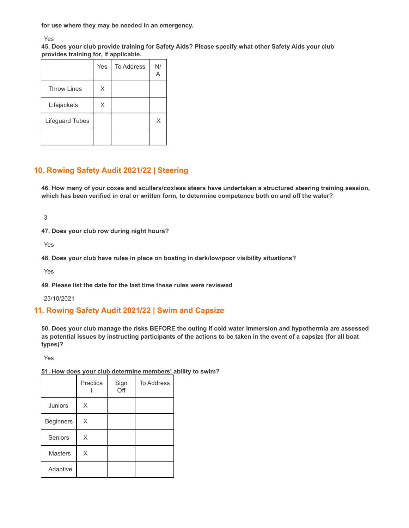**for use where they may be needed in an emergency.**

Yes

**45. Does your club provide training for Safety Aids? Please specify what other Safety Aids your club provides training for, if applicable.**

|                    | Yes | To Address | N/ |
|--------------------|-----|------------|----|
| <b>Throw Lines</b> | Χ   |            |    |
| Lifejackets        | X   |            |    |
| Lifeguard Tubes    |     |            | Χ  |
|                    |     |            |    |

# **10. Rowing Safety Audit 2021/22 | Steering**

**46. How many of your coxes and scullers/coxless steers have undertaken a structured steering training session,** which has been verified in oral or written form, to determine competence both on and off the water?

3

**47. Does your club row during night hours?**

Yes

**48. Does your club have rules in place on boating in dark/low/poor visibility situations?**

Yes

**49. Please list the date for the last time these rules were reviewed**

23/10/2021

# **11. Rowing Safety Audit 2021/22 | Swim and Capsize**

50. Does your club manage the risks BEFORE the outing if cold water immersion and hypothermia are assessed as potential issues by instructing participants of the actions to be taken in the event of a capsize (for all boat **types)?**

Yes

|                  | Practica | Sign<br>Off | <b>To Address</b> |
|------------------|----------|-------------|-------------------|
| Juniors          | X        |             |                   |
| <b>Beginners</b> | X        |             |                   |
| Seniors          | X        |             |                   |
| <b>Masters</b>   | X        |             |                   |
| Adaptive         |          |             |                   |

**51. How does your club determine members' ability to swim?**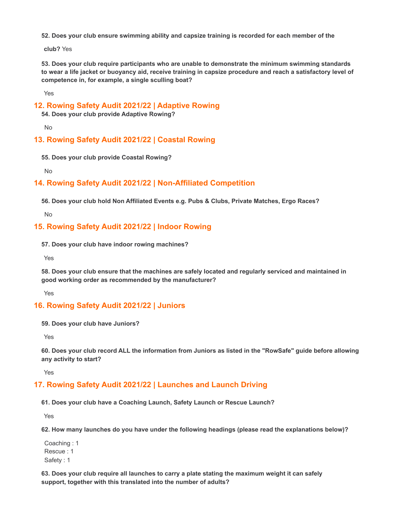**52. Does your club ensure swimming ability and capsize training is recorded for each member of the**

**club?** Yes

**53. Does your club require participants who are unable to demonstrate the minimum swimming standards** to wear a life jacket or buoyancy aid, receive training in capsize procedure and reach a satisfactory level of **competence in, for example, a single sculling boat?**

Yes

#### **12. Rowing Safety Audit 2021/22 | Adaptive Rowing**

**54. Does your club provide Adaptive Rowing?**

No

### **13. Rowing Safety Audit 2021/22 | Coastal Rowing**

**55. Does your club provide Coastal Rowing?**

No

### **14. Rowing Safety Audit 2021/22 | Non-Affiliated Competition**

**56. Does your club hold Non Affiliated Events e.g. Pubs & Clubs, Private Matches, Ergo Races?**

No

#### **15. Rowing Safety Audit 2021/22 | Indoor Rowing**

**57. Does your club have indoor rowing machines?**

Yes

**58. Does your club ensure that the machines are safely located and regularly serviced and maintained in good working order as recommended by the manufacturer?**

Yes

### **16. Rowing Safety Audit 2021/22 | Juniors**

**59. Does your club have Juniors?**

Yes

60. Does your club record ALL the information from Juniors as listed in the "RowSafe" guide before allowing **any activity to start?**

Yes

### **17. Rowing Safety Audit 2021/22 | Launches and Launch Driving**

**61. Does your club have a Coaching Launch, Safety Launch or Rescue Launch?**

Yes

**62. How many launches do you have under the following headings (please read the explanations below)?**

Coaching : 1 Rescue : 1 Safety : 1

**63. Does your club require all launches to carry a plate stating the maximum weight it can safely support, together with this translated into the number of adults?**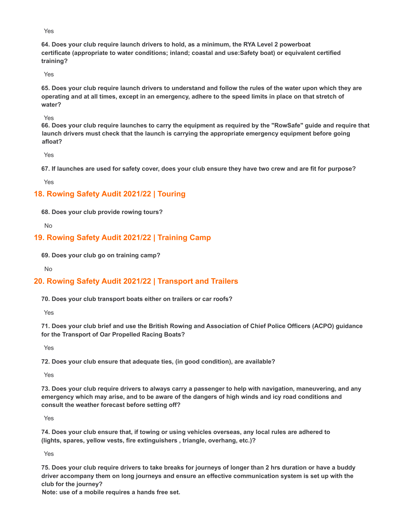Yes

**64. Does your club require launch drivers to hold, as a minimum, the RYA Level 2 powerboat certificate (appropriate to water conditions; inland; coastal and use:Safety boat) or equivalent certified training?**

Yes

65. Does your club require launch drivers to understand and follow the rules of the water upon which they are operating and at all times, except in an emergency, adhere to the speed limits in place on that stretch of **water?**

Yes

66. Does your club require launches to carry the equipment as required by the "RowSafe" quide and require that **launch drivers must check that the launch is carrying the appropriate emergency equipment before going afloat?**

Yes

67. If launches are used for safety cover, does your club ensure they have two crew and are fit for purpose?

Yes

# **18. Rowing Safety Audit 2021/22 | Touring**

**68. Does your club provide rowing tours?**

No

### **19. Rowing Safety Audit 2021/22 | Training Camp**

**69. Does your club go on training camp?**

No

# **20. Rowing Safety Audit 2021/22 | Transport and Trailers**

**70. Does your club transport boats either on trailers or car roofs?**

Yes

71. Does your club brief and use the British Rowing and Association of Chief Police Officers (ACPO) guidance **for the Transport of Oar Propelled Racing Boats?**

Yes

**72. Does your club ensure that adequate ties, (in good condition), are available?**

Yes

73. Does your club require drivers to always carry a passenger to help with navigation, maneuvering, and any emergency which may arise, and to be aware of the dangers of high winds and icy road conditions and **consult the weather forecast before setting off?**

Yes

74. Does your club ensure that, if towing or using vehicles overseas, any local rules are adhered to **(lights, spares, yellow vests, fire extinguishers , triangle, overhang, etc.)?**

Yes

75. Does your club require drivers to take breaks for journeys of longer than 2 hrs duration or have a buddy **driver accompany them on long journeys and ensure an effective communication system is set up with the club for the journey?**

**Note: use of a mobile requires a hands free set.**